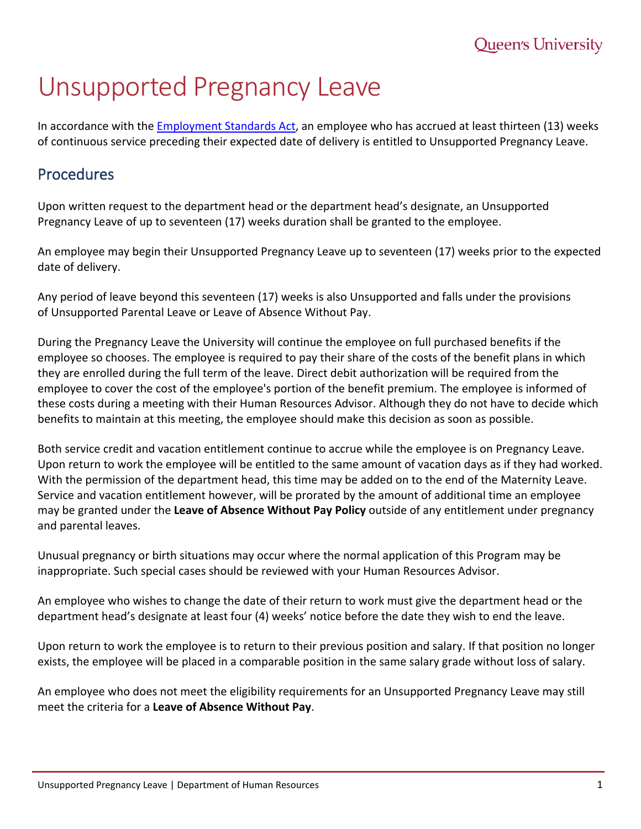# Unsupported Pregnancy Leave

In accordance with the **Employment Standards Act**, an employee who has accrued at least thirteen (13) weeks of continuous service preceding their expected date of delivery is entitled to Unsupported Pregnancy Leave.

## Procedures

Upon written request to the department head or the department head's designate, an Unsupported Pregnancy Leave of up to seventeen (17) weeks duration shall be granted to the employee.

An employee may begin their Unsupported Pregnancy Leave up to seventeen (17) weeks prior to the expected date of delivery.

Any period of leave beyond this seventeen (17) weeks is also Unsupported and falls under the provisions of Unsupported Parental Leave or Leave of Absence Without Pay.

During the Pregnancy Leave the University will continue the employee on full purchased benefits if the employee so chooses. The employee is required to pay their share of the costs of the benefit plans in which they are enrolled during the full term of the leave. Direct debit authorization will be required from the employee to cover the cost of the employee's portion of the benefit premium. The employee is informed of these costs during a meeting with their Human Resources Advisor. Although they do not have to decide which benefits to maintain at this meeting, the employee should make this decision as soon as possible.

Both service credit and vacation entitlement continue to accrue while the employee is on Pregnancy Leave. Upon return to work the employee will be entitled to the same amount of vacation days as if they had worked. With the permission of the department head, this time may be added on to the end of the Maternity Leave. Service and vacation entitlement however, will be prorated by the amount of additional time an employee may be granted under the **Leave of Absence Without Pay Policy** outside of any entitlement under pregnancy and parental leaves.

Unusual pregnancy or birth situations may occur where the normal application of this Program may be inappropriate. Such special cases should be reviewed with your Human Resources Advisor.

An employee who wishes to change the date of their return to work must give the department head or the department head's designate at least four (4) weeks' notice before the date they wish to end the leave.

Upon return to work the employee is to return to their previous position and salary. If that position no longer exists, the employee will be placed in a comparable position in the same salary grade without loss of salary.

An employee who does not meet the eligibility requirements for an Unsupported Pregnancy Leave may still meet the criteria for a **Leave of Absence Without Pay**.